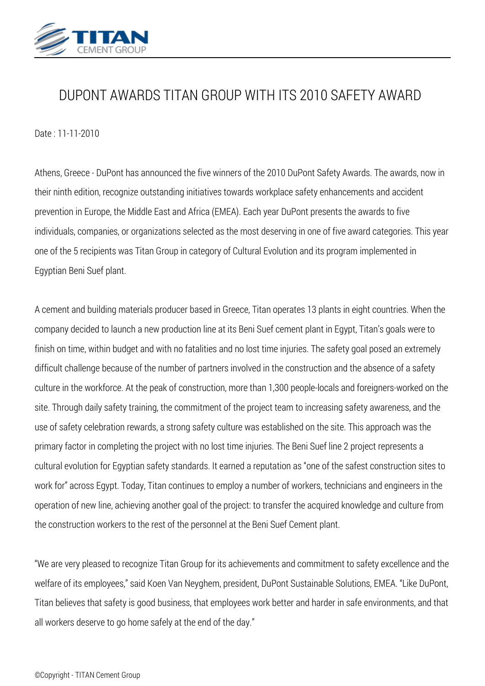

## *DUPONT AWARDS TITAN GROUP WITH ITS 2010 SAFETY AWARD*

*Date : 11-11-2010*

*Athens, Greece - DuPont has announced the five winners of the 2010 DuPont Safety Awards. The awards, now in their ninth edition, recognize outstanding initiatives towards workplace safety enhancements and accident prevention in Europe, the Middle East and Africa (EMEA). Each year DuPont presents the awards to five individuals, companies, or organizations selected as the most deserving in one of five award categories. This year one of the 5 recipients was Titan Group in category of Cultural Evolution and its program implemented in Egyptian Beni Suef plant.*

*A cement and building materials producer based in Greece, Titan operates 13 plants in eight countries. When the company decided to launch a new production line at its Beni Suef cement plant in Egypt, Titan's goals were to finish on time, within budget and with no fatalities and no lost time injuries. The safety goal posed an extremely difficult challenge because of the number of partners involved in the construction and the absence of a safety culture in the workforce. At the peak of construction, more than 1,300 people-locals and foreigners-worked on the site. Through daily safety training, the commitment of the project team to increasing safety awareness, and the use of safety celebration rewards, a strong safety culture was established on the site. This approach was the primary factor in completing the project with no lost time injuries. The Beni Suef line 2 project represents a cultural evolution for Egyptian safety standards. It earned a reputation as "one of the safest construction sites to work for" across Egypt. Today, Titan continues to employ a number of workers, technicians and engineers in the operation of new line, achieving another goal of the project: to transfer the acquired knowledge and culture from the construction workers to the rest of the personnel at the Beni Suef Cement plant.*

*"We are very pleased to recognize Titan Group for its achievements and commitment to safety excellence and the welfare of its employees," said Koen Van Neyghem, president, DuPont Sustainable Solutions, EMEA. "Like DuPont, Titan believes that safety is good business, that employees work better and harder in safe environments, and that all workers deserve to go home safely at the end of the day."*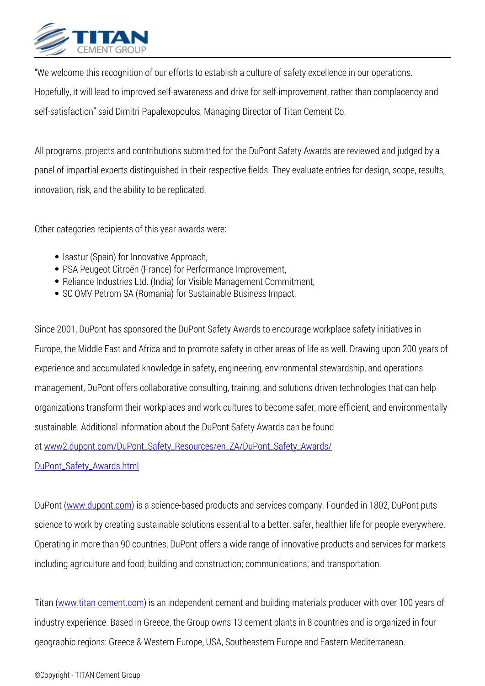

*"We welcome this recognition of our efforts to establish a culture of safety excellence in our operations. Hopefully, it will lead to improved self-awareness and drive for self-improvement, rather than complacency and self-satisfaction" said Dimitri Papalexopoulos, Managing Director of Titan Cement Co.*

*All programs, projects and contributions submitted for the DuPont Safety Awards are reviewed and judged by a panel of impartial experts distinguished in their respective fields. They evaluate entries for design, scope, results, innovation, risk, and the ability to be replicated.*

*Other categories recipients of this year awards were:*

- *Isastur (Spain) for Innovative Approach,*
- *PSA Peugeot Citroën (France) for Performance Improvement,*
- *Reliance Industries Ltd. (India) for Visible Management Commitment,*
- *SC OMV Petrom SA (Romania) for Sustainable Business Impact.*

*Since 2001, DuPont has sponsored the DuPont Safety Awards to encourage workplace safety initiatives in Europe, the Middle East and Africa and to promote safety in other areas of life as well. Drawing upon 200 years of experience and accumulated knowledge in safety, engineering, environmental stewardship, and operations management, DuPont offers collaborative consulting, training, and solutions-driven technologies that can help organizations transform their workplaces and work cultures to become safer, more efficient, and environmentally sustainable. Additional information about the DuPont Safety Awards can be found at [www2.dupont.com/DuPont\\_Safety\\_Resources/en\\_ZA/DuPont\\_Safety\\_Awards/](http://www2.dupont.com/DuPont_Safety_Resources/en_ZA/DuPont_Safety_Awards/DuPont_Safety_Awards.html)*

*[DuPont\\_Safety\\_Awards.html](http://www2.dupont.com/DuPont_Safety_Resources/en_ZA/DuPont_Safety_Awards/DuPont_Safety_Awards.html)*

*DuPont (www.dupont.com) is a science-based products and services company. Founded in 1802, DuPont puts science to work by creating sustainable solutions essential to a better, safer, healthier life for people everywhere. Operating in more than 90 countries, DuPont offers a wide range of innovative products and services for markets including agriculture and food; building and construction; communications; and transportation.*

*Titan (www.titan-cement.com) is an independent cement and building materials producer with over 100 years of industry experience. Based in Greece, the Group owns 13 cement plants in 8 countries and is organized in four geographic regions: Greece & Western Europe, USA, Southeastern Europe and Eastern Mediterranean.*